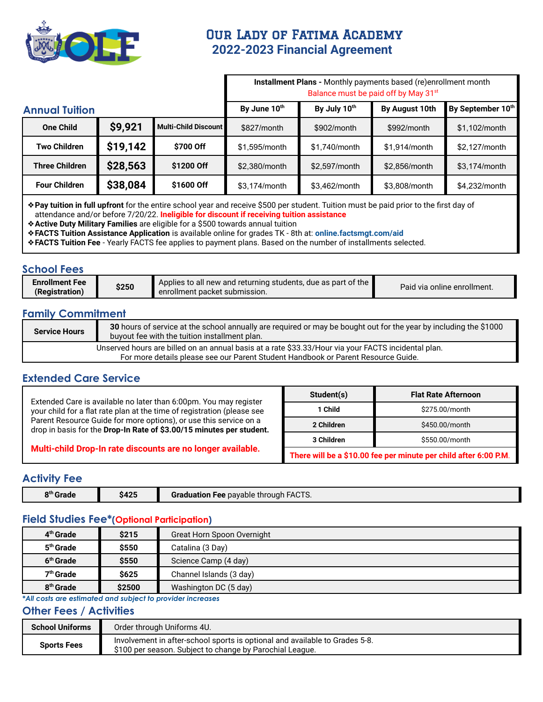

# Our Lady of Fatima Academy **2022-2023 Financial Agreement**

|                       |          |                      | Installment Plans - Monthly payments based (re)enrollment month<br>Balance must be paid off by May 31 <sup>st</sup> |               |                |                   |
|-----------------------|----------|----------------------|---------------------------------------------------------------------------------------------------------------------|---------------|----------------|-------------------|
| <b>Annual Tuition</b> |          |                      | By June 10th                                                                                                        | By July 10th  | By August 10th | By September 10th |
| <b>One Child</b>      | \$9,921  | Multi-Child Discount | \$827/month                                                                                                         | \$902/month   | \$992/month    | \$1,102/month     |
| <b>Two Children</b>   | \$19,142 | \$700 Off            | \$1,595/month                                                                                                       | \$1,740/month | \$1,914/month  | \$2,127/month     |
| <b>Three Children</b> | \$28,563 | \$1200 Off           | \$2,380/month                                                                                                       | \$2,597/month | \$2,856/month  | \$3,174/month     |
| <b>Four Children</b>  | \$38,084 | \$1600 Off           | \$3,174/month                                                                                                       | \$3,462/month | \$3,808/month  | \$4,232/month     |

❖**Pay tuition in full upfront** for the entire school year and receive \$500 per student. Tuition must be paid prior to the first day of attendance and/or before 7/20/22. **Ineligible for discount if receiving tuition assistance**

❖**Active Duty Military Families** are eligible for a \$500 towards annual tuition

❖**FACTS Tuition Assistance Application** is available online for grades TK - 8th at: **[online.factsmgt.com/aid](https://online.factsmgt.com/aid)**

❖**FACTS Tuition Fee** - Yearly FACTS fee applies to payment plans. Based on the number of installments selected.

## **School Fees**

| <b>Enrollment Fee</b><br>(Registration) | \$250 | Applies to all new and returning students, due as part of the<br>Lenrollment packet submission. | Paid via online enrollment. |
|-----------------------------------------|-------|-------------------------------------------------------------------------------------------------|-----------------------------|
|-----------------------------------------|-------|-------------------------------------------------------------------------------------------------|-----------------------------|

### **Family Commitment**

| <b>Service Hours</b>                                                                                | 30 hours of service at the school annually are required or may be bought out for the year by including the \$1000<br>buyout fee with the tuition installment plan. |  |  |  |
|-----------------------------------------------------------------------------------------------------|--------------------------------------------------------------------------------------------------------------------------------------------------------------------|--|--|--|
| Unserved hours are billed on an annual basis at a rate \$33.33/Hour via your FACTS incidental plan. |                                                                                                                                                                    |  |  |  |
|                                                                                                     | For more details please see our Parent Student Handbook or Parent Resource Guide.                                                                                  |  |  |  |

### **Extended Care Service**

Extended Care is available no later than 6:00pm. You may register your child for a flat rate plan at the time of registration (please see Parent Resource Guide for more options), or use this service on a drop in basis for the **Drop-In Rate of \$3.00/15 minutes per student.**

**Multi-child Drop-In rate discounts are no longer available.**

| Student(s)                                                       | <b>Flat Rate Afternoon</b> |  |
|------------------------------------------------------------------|----------------------------|--|
| 1 Child                                                          | \$275.00/month             |  |
| 2 Children                                                       | \$450.00/month             |  |
| \$550.00/month<br>3 Children                                     |                            |  |
| There will be a \$10.00 fee per minute per child after 6:00 P.M. |                            |  |

## **Activity Fee**

| \$425<br><sup>9th</sup> Grade | Nee payable through FACTS.<br>Graduation |
|-------------------------------|------------------------------------------|

### **Field Studies Fee\*(Optional Participation)**

| 4 <sup>th</sup> Grade | \$215  | <b>Great Horn Spoon Overnight</b> |
|-----------------------|--------|-----------------------------------|
| 5 <sup>th</sup> Grade | \$550  | Catalina (3 Day)                  |
| 6 <sup>th</sup> Grade | \$550  | Science Camp (4 day)              |
| 7 <sup>th</sup> Grade | \$625  | Channel Islands (3 day)           |
| 8 <sup>th</sup> Grade | \$2500 | Washington DC (5 day)             |

### *\*All costs are estimated and subject to provider increases*

### **Other Fees / Activities**

| <b>School Uniforms</b> | Order through Uniforms 4U.                                                                                                              |
|------------------------|-----------------------------------------------------------------------------------------------------------------------------------------|
| <b>Sports Fees</b>     | Involvement in after-school sports is optional and available to Grades 5-8.<br>\$100 per season. Subject to change by Parochial League. |